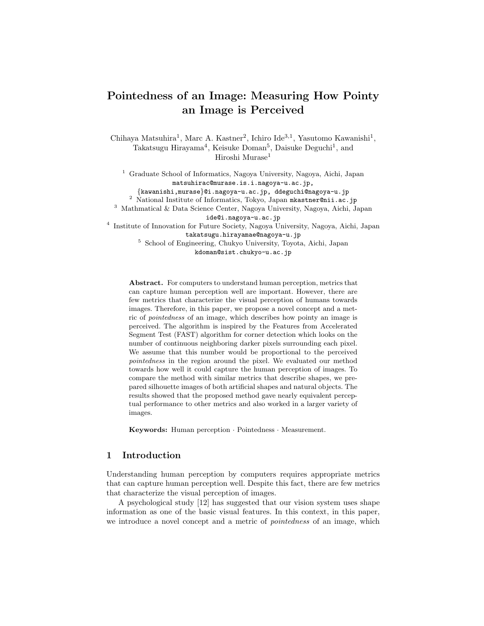# Pointedness of an Image: Measuring How Pointy an Image is Perceived

Chihaya Matsuhira<sup>1</sup>, Marc A. Kastner<sup>2</sup>, Ichiro Ide<sup>3,1</sup>, Yasutomo Kawanishi<sup>1</sup>, Takatsugu Hirayama<sup>4</sup>, Keisuke Doman<sup>5</sup>, Daisuke Deguchi<sup>1</sup>, and Hiroshi Murase<sup>1</sup>

 $^{\rm 1}$  Graduate School of Informatics, Nagoya University, Nagoya, Aichi, Japan matsuhirac@murase.is.i.nagoya-u.ac.jp,

{kawanishi,murase}@i.nagoya-u.ac.jp, ddeguchi@nagoya-u.jp

 $^2$  National Institute of Informatics, Tokyo, Japan mkastner@nii.ac.jp

<sup>3</sup> Mathmatical & Data Science Center, Nagoya University, Nagoya, Aichi, Japan ide@i.nagoya-u.ac.jp

4 Institute of Innovation for Future Society, Nagoya University, Nagoya, Aichi, Japan takatsugu.hirayamae@nagoya-u.jp

<sup>5</sup> School of Engineering, Chukyo University, Toyota, Aichi, Japan kdoman@sist.chukyo-u.ac.jp

Abstract. For computers to understand human perception, metrics that can capture human perception well are important. However, there are few metrics that characterize the visual perception of humans towards images. Therefore, in this paper, we propose a novel concept and a metric of pointedness of an image, which describes how pointy an image is perceived. The algorithm is inspired by the Features from Accelerated Segment Test (FAST) algorithm for corner detection which looks on the number of continuous neighboring darker pixels surrounding each pixel. We assume that this number would be proportional to the perceived pointedness in the region around the pixel. We evaluated our method towards how well it could capture the human perception of images. To compare the method with similar metrics that describe shapes, we prepared silhouette images of both artificial shapes and natural objects. The results showed that the proposed method gave nearly equivalent perceptual performance to other metrics and also worked in a larger variety of images.

Keywords: Human perception · Pointedness · Measurement.

## 1 Introduction

Understanding human perception by computers requires appropriate metrics that can capture human perception well. Despite this fact, there are few metrics that characterize the visual perception of images.

A psychological study [12] has suggested that our vision system uses shape information as one of the basic visual features. In this context, in this paper, we introduce a novel concept and a metric of pointedness of an image, which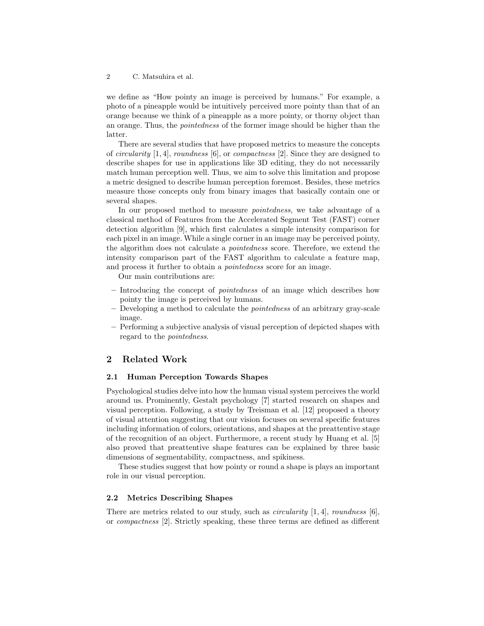we define as "How pointy an image is perceived by humans." For example, a photo of a pineapple would be intuitively perceived more pointy than that of an orange because we think of a pineapple as a more pointy, or thorny object than an orange. Thus, the pointedness of the former image should be higher than the latter.

There are several studies that have proposed metrics to measure the concepts of *circularity* [1, 4], *roundness* [6], or *compactness* [2]. Since they are designed to describe shapes for use in applications like 3D editing, they do not necessarily match human perception well. Thus, we aim to solve this limitation and propose a metric designed to describe human perception foremost. Besides, these metrics measure those concepts only from binary images that basically contain one or several shapes.

In our proposed method to measure pointedness, we take advantage of a classical method of Features from the Accelerated Segment Test (FAST) corner detection algorithm [9], which first calculates a simple intensity comparison for each pixel in an image. While a single corner in an image may be perceived pointy, the algorithm does not calculate a pointedness score. Therefore, we extend the intensity comparison part of the FAST algorithm to calculate a feature map, and process it further to obtain a pointedness score for an image.

Our main contributions are:

- Introducing the concept of pointedness of an image which describes how pointy the image is perceived by humans.
- Developing a method to calculate the pointedness of an arbitrary gray-scale image.
- Performing a subjective analysis of visual perception of depicted shapes with regard to the pointedness.

## 2 Related Work

#### 2.1 Human Perception Towards Shapes

Psychological studies delve into how the human visual system perceives the world around us. Prominently, Gestalt psychology [7] started research on shapes and visual perception. Following, a study by Treisman et al. [12] proposed a theory of visual attention suggesting that our vision focuses on several specific features including information of colors, orientations, and shapes at the preattentive stage of the recognition of an object. Furthermore, a recent study by Huang et al. [5] also proved that preattentive shape features can be explained by three basic dimensions of segmentability, compactness, and spikiness.

These studies suggest that how pointy or round a shape is plays an important role in our visual perception.

#### 2.2 Metrics Describing Shapes

There are metrics related to our study, such as *circularity* [1, 4], *roundness* [6], or compactness [2]. Strictly speaking, these three terms are defined as different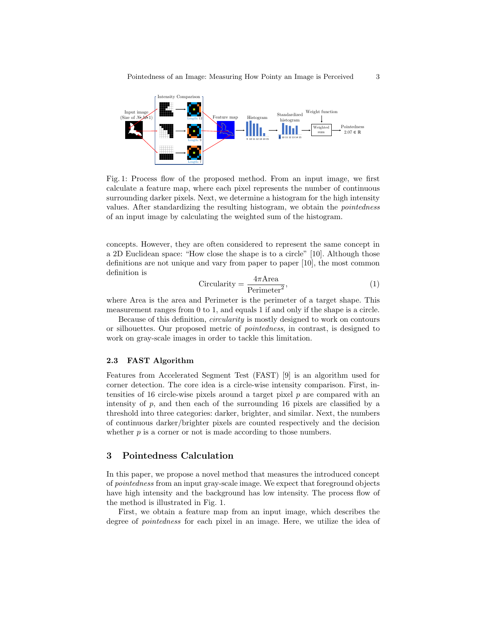

Fig. 1: Process flow of the proposed method. From an input image, we first calculate a feature map, where each pixel represents the number of continuous surrounding darker pixels. Next, we determine a histogram for the high intensity values. After standardizing the resulting histogram, we obtain the pointedness of an input image by calculating the weighted sum of the histogram.

concepts. However, they are often considered to represent the same concept in a 2D Euclidean space: "How close the shape is to a circle" [10]. Although those definitions are not unique and vary from paper to paper [10], the most common definition is

$$
Circularity = \frac{4\pi \text{Area}}{\text{Perimeter}^2},\tag{1}
$$

where Area is the area and Perimeter is the perimeter of a target shape. This measurement ranges from 0 to 1, and equals 1 if and only if the shape is a circle.

Because of this definition, circularity is mostly designed to work on contours or silhouettes. Our proposed metric of pointedness, in contrast, is designed to work on gray-scale images in order to tackle this limitation.

#### 2.3 FAST Algorithm

Features from Accelerated Segment Test (FAST) [9] is an algorithm used for corner detection. The core idea is a circle-wise intensity comparison. First, intensities of 16 circle-wise pixels around a target pixel p are compared with an intensity of  $p$ , and then each of the surrounding 16 pixels are classified by a threshold into three categories: darker, brighter, and similar. Next, the numbers of continuous darker/brighter pixels are counted respectively and the decision whether  $p$  is a corner or not is made according to those numbers.

## 3 Pointedness Calculation

In this paper, we propose a novel method that measures the introduced concept of pointedness from an input gray-scale image. We expect that foreground objects have high intensity and the background has low intensity. The process flow of the method is illustrated in Fig. 1.

First, we obtain a feature map from an input image, which describes the degree of pointedness for each pixel in an image. Here, we utilize the idea of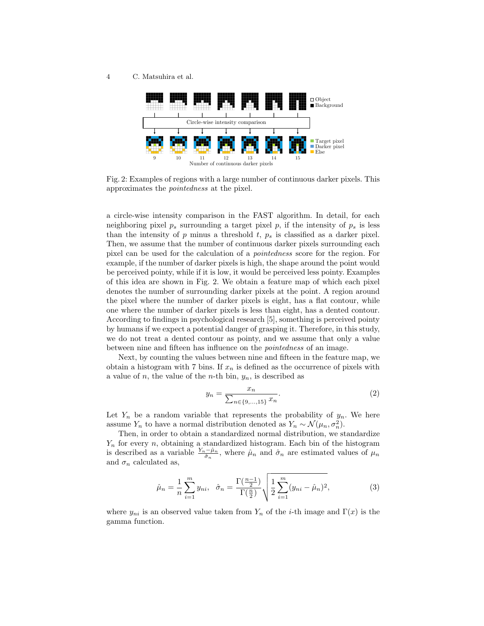

Fig. 2: Examples of regions with a large number of continuous darker pixels. This approximates the pointedness at the pixel.

a circle-wise intensity comparison in the FAST algorithm. In detail, for each neighboring pixel  $p_s$  surrounding a target pixel p, if the intensity of  $p_s$  is less than the intensity of  $p$  minus a threshold  $t, p_s$  is classified as a darker pixel. Then, we assume that the number of continuous darker pixels surrounding each pixel can be used for the calculation of a pointedness score for the region. For example, if the number of darker pixels is high, the shape around the point would be perceived pointy, while if it is low, it would be perceived less pointy. Examples of this idea are shown in Fig. 2. We obtain a feature map of which each pixel denotes the number of surrounding darker pixels at the point. A region around the pixel where the number of darker pixels is eight, has a flat contour, while one where the number of darker pixels is less than eight, has a dented contour. According to findings in psychological research [5], something is perceived pointy by humans if we expect a potential danger of grasping it. Therefore, in this study, we do not treat a dented contour as pointy, and we assume that only a value between nine and fifteen has influence on the pointedness of an image.

Next, by counting the values between nine and fifteen in the feature map, we obtain a histogram with 7 bins. If  $x_n$  is defined as the occurrence of pixels with a value of n, the value of the n-th bin,  $y_n$ , is described as

$$
y_n = \frac{x_n}{\sum_{n \in \{9, \dots, 15\}} x_n}.
$$
 (2)

Let  $Y_n$  be a random variable that represents the probability of  $y_n$ . We here assume  $Y_n$  to have a normal distribution denoted as  $Y_n \sim \mathcal{N}(\mu_n, \sigma_n^2)$ .

Then, in order to obtain a standardized normal distribution, we standardize  $Y_n$  for every n, obtaining a standardized histogram. Each bin of the histogram is described as a variable  $\frac{Y_n-\hat{\mu}_n}{\hat{\sigma}_n}$ , where  $\hat{\mu}_n$  and  $\hat{\sigma}_n$  are estimated values of  $\mu_n$ and  $\sigma_n$  calculated as,

$$
\hat{\mu}_n = \frac{1}{n} \sum_{i=1}^m y_{ni}, \quad \hat{\sigma}_n = \frac{\Gamma(\frac{n-1}{2})}{\Gamma(\frac{n}{2})} \sqrt{\frac{1}{2} \sum_{i=1}^m (y_{ni} - \hat{\mu}_n)^2}, \tag{3}
$$

where  $y_{ni}$  is an observed value taken from  $Y_n$  of the *i*-th image and  $\Gamma(x)$  is the gamma function.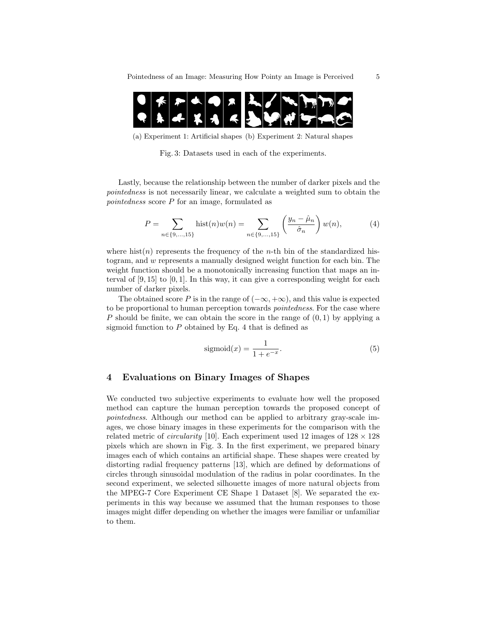

(a) Experiment 1: Artificial shapes (b) Experiment 2: Natural shapes

Fig. 3: Datasets used in each of the experiments.

Lastly, because the relationship between the number of darker pixels and the pointedness is not necessarily linear, we calculate a weighted sum to obtain the pointedness score P for an image, formulated as

$$
P = \sum_{n \in \{9,\dots,15\}} \text{hist}(n)w(n) = \sum_{n \in \{9,\dots,15\}} \left(\frac{y_n - \hat{\mu}_n}{\hat{\sigma}_n}\right)w(n),\tag{4}
$$

where hist $(n)$  represents the frequency of the *n*-th bin of the standardized histogram, and w represents a manually designed weight function for each bin. The weight function should be a monotonically increasing function that maps an interval of  $[9, 15]$  to  $[0, 1]$ . In this way, it can give a corresponding weight for each number of darker pixels.

The obtained score P is in the range of  $(-\infty, +\infty)$ , and this value is expected to be proportional to human perception towards pointedness. For the case where P should be finite, we can obtain the score in the range of  $(0, 1)$  by applying a sigmoid function to  $P$  obtained by Eq. 4 that is defined as

$$
sigmoid(x) = \frac{1}{1 + e^{-x}}.\tag{5}
$$

## 4 Evaluations on Binary Images of Shapes

We conducted two subjective experiments to evaluate how well the proposed method can capture the human perception towards the proposed concept of pointedness. Although our method can be applied to arbitrary gray-scale images, we chose binary images in these experiments for the comparison with the related metric of *circularity* [10]. Each experiment used 12 images of  $128 \times 128$ pixels which are shown in Fig. 3. In the first experiment, we prepared binary images each of which contains an artificial shape. These shapes were created by distorting radial frequency patterns [13], which are defined by deformations of circles through sinusoidal modulation of the radius in polar coordinates. In the second experiment, we selected silhouette images of more natural objects from the MPEG-7 Core Experiment CE Shape 1 Dataset [8]. We separated the experiments in this way because we assumed that the human responses to those images might differ depending on whether the images were familiar or unfamiliar to them.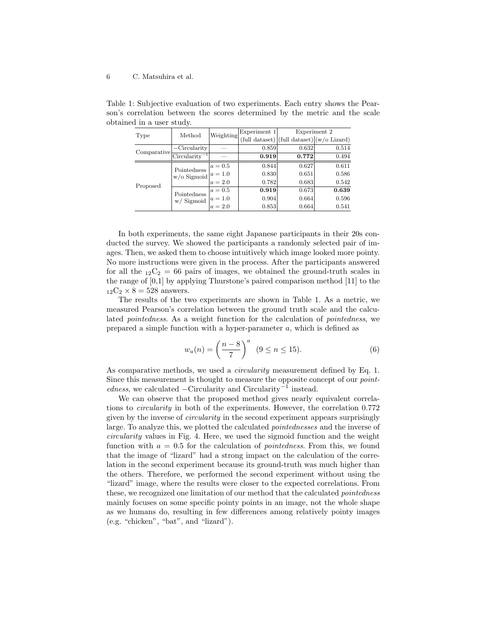| Type        | Method                               | Weighting | Experiment 1                                     | Experiment 2 |       |
|-------------|--------------------------------------|-----------|--------------------------------------------------|--------------|-------|
|             |                                      |           | $(full dataset)   (full dataset)   (w/o Lizard)$ |              |       |
| Comparative | $-Circularity$                       |           | 0.859                                            | 0.632        | 0.514 |
|             | $Circularity^{-1}$                   |           | 0.919                                            | 0.772        | 0.494 |
| Proposed    | Pointedness<br>w/o Sigmoid $a = 1.0$ | $a=0.5$   | 0.844                                            | 0.627        | 0.611 |
|             |                                      |           | 0.830                                            | 0.651        | 0.586 |
|             |                                      | $a = 2.0$ | 0.782                                            | 0.683        | 0.542 |
|             | Pointedness<br>$w/$ Sigmoid          | $a=0.5$   | 0.919                                            | 0.673        | 0.639 |
|             |                                      | $a = 1.0$ | 0.904                                            | 0.664        | 0.596 |
|             |                                      | $a = 2.0$ | 0.853                                            | 0.664        | 0.541 |

Table 1: Subjective evaluation of two experiments. Each entry shows the Pearson's correlation between the scores determined by the metric and the scale obtained in a user study.

In both experiments, the same eight Japanese participants in their 20s conducted the survey. We showed the participants a randomly selected pair of images. Then, we asked them to choose intuitively which image looked more pointy. No more instructions were given in the process. After the participants answered for all the  $_{12}C_2 = 66$  pairs of images, we obtained the ground-truth scales in the range of [0,1] by applying Thurstone's paired comparison method [11] to the  $_{12}C_2 \times 8 = 528$  answers.

The results of the two experiments are shown in Table 1. As a metric, we measured Pearson's correlation between the ground truth scale and the calculated pointedness. As a weight function for the calculation of pointedness, we prepared a simple function with a hyper-parameter  $a$ , which is defined as

$$
w_a(n) = \left(\frac{n-8}{7}\right)^a \ (9 \le n \le 15). \tag{6}
$$

As comparative methods, we used a *circularity* measurement defined by Eq. 1. Since this measurement is thought to measure the opposite concept of our pointedness, we calculated –Circularity and Circularity<sup>-1</sup> instead.

We can observe that the proposed method gives nearly equivalent correlations to circularity in both of the experiments. However, the correlation 0.772 given by the inverse of circularity in the second experiment appears surprisingly large. To analyze this, we plotted the calculated pointednesses and the inverse of circularity values in Fig. 4. Here, we used the sigmoid function and the weight function with  $a = 0.5$  for the calculation of *pointedness*. From this, we found that the image of "lizard" had a strong impact on the calculation of the correlation in the second experiment because its ground-truth was much higher than the others. Therefore, we performed the second experiment without using the "lizard" image, where the results were closer to the expected correlations. From these, we recognized one limitation of our method that the calculated pointedness mainly focuses on some specific pointy points in an image, not the whole shape as we humans do, resulting in few differences among relatively pointy images (e.g. "chicken", "bat", and "lizard").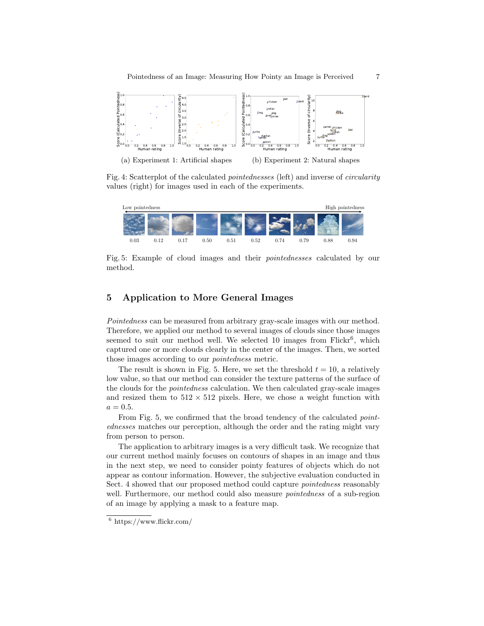

Fig. 4: Scatterplot of the calculated pointednesses (left) and inverse of circularity values (right) for images used in each of the experiments.



Fig. 5: Example of cloud images and their pointednesses calculated by our method.

## 5 Application to More General Images

Pointedness can be measured from arbitrary gray-scale images with our method. Therefore, we applied our method to several images of clouds since those images seemed to suit our method well. We selected 10 images from  $Flickr^6$ , which captured one or more clouds clearly in the center of the images. Then, we sorted those images according to our pointedness metric.

The result is shown in Fig. 5. Here, we set the threshold  $t = 10$ , a relatively low value, so that our method can consider the texture patterns of the surface of the clouds for the pointedness calculation. We then calculated gray-scale images and resized them to  $512 \times 512$  pixels. Here, we chose a weight function with  $a = 0.5.$ 

From Fig. 5, we confirmed that the broad tendency of the calculated *point*ednesses matches our perception, although the order and the rating might vary from person to person.

The application to arbitrary images is a very difficult task. We recognize that our current method mainly focuses on contours of shapes in an image and thus in the next step, we need to consider pointy features of objects which do not appear as contour information. However, the subjective evaluation conducted in Sect. 4 showed that our proposed method could capture pointedness reasonably well. Furthermore, our method could also measure *pointedness* of a sub-region of an image by applying a mask to a feature map.

 $\frac{6}{6}$  https://www.flickr.com/